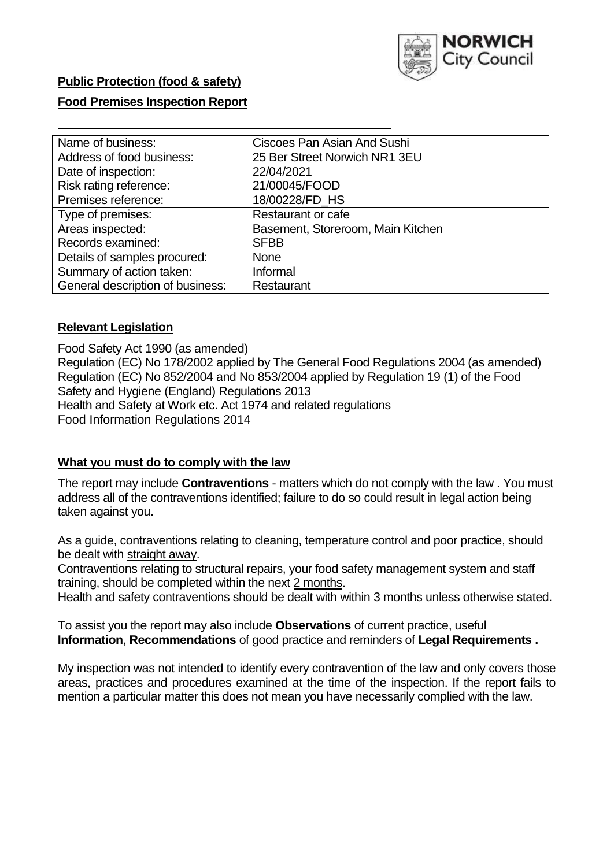

# **Public Protection (food & safety)**

# **Food Premises Inspection Report**

| Name of business:                | Ciscoes Pan Asian And Sushi       |  |  |  |  |  |
|----------------------------------|-----------------------------------|--|--|--|--|--|
|                                  |                                   |  |  |  |  |  |
| Address of food business:        | 25 Ber Street Norwich NR1 3EU     |  |  |  |  |  |
| Date of inspection:              | 22/04/2021                        |  |  |  |  |  |
| Risk rating reference:           | 21/00045/FOOD                     |  |  |  |  |  |
| Premises reference:              | 18/00228/FD HS                    |  |  |  |  |  |
| Type of premises:                | <b>Restaurant or cafe</b>         |  |  |  |  |  |
| Areas inspected:                 | Basement, Storeroom, Main Kitchen |  |  |  |  |  |
| Records examined:                | <b>SFBB</b>                       |  |  |  |  |  |
| Details of samples procured:     | <b>None</b>                       |  |  |  |  |  |
| Summary of action taken:         | Informal                          |  |  |  |  |  |
| General description of business: | Restaurant                        |  |  |  |  |  |

### **Relevant Legislation**

 Food Safety Act 1990 (as amended) Regulation (EC) No 178/2002 applied by The General Food Regulations 2004 (as amended) Regulation (EC) No 852/2004 and No 853/2004 applied by Regulation 19 (1) of the Food Safety and Hygiene (England) Regulations 2013 Health and Safety at Work etc. Act 1974 and related regulations Food Information Regulations 2014

### **What you must do to comply with the law**

 The report may include **Contraventions** - matters which do not comply with the law . You must address all of the contraventions identified; failure to do so could result in legal action being taken against you.

 As a guide, contraventions relating to cleaning, temperature control and poor practice, should be dealt with straight away.

 Contraventions relating to structural repairs, your food safety management system and staff training, should be completed within the next 2 months.

Health and safety contraventions should be dealt with within 3 months unless otherwise stated.

 To assist you the report may also include **Observations** of current practice, useful **Information**, **Recommendations** of good practice and reminders of **Legal Requirements .** 

 My inspection was not intended to identify every contravention of the law and only covers those areas, practices and procedures examined at the time of the inspection. If the report fails to mention a particular matter this does not mean you have necessarily complied with the law.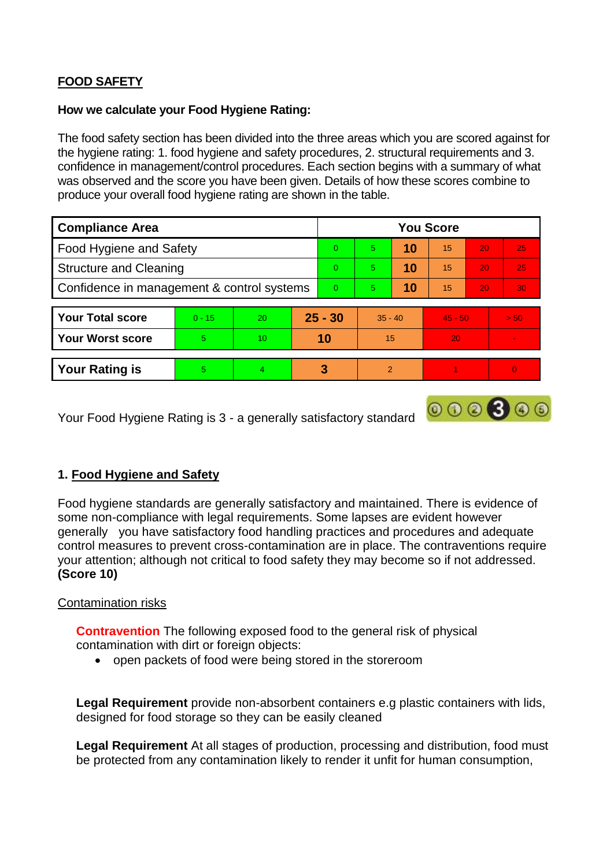# **FOOD SAFETY**

## **How we calculate your Food Hygiene Rating:**

 The food safety section has been divided into the three areas which you are scored against for the hygiene rating: 1. food hygiene and safety procedures, 2. structural requirements and 3. confidence in management/control procedures. Each section begins with a summary of what was observed and the score you have been given. Details of how these scores combine to produce your overall food hygiene rating are shown in the table.

| <b>Compliance Area</b>                     |          |                  |           | <b>You Score</b> |                |    |           |                 |          |  |  |
|--------------------------------------------|----------|------------------|-----------|------------------|----------------|----|-----------|-----------------|----------|--|--|
| Food Hygiene and Safety                    |          |                  |           | $\Omega$         | 5              | 10 | 15        | 20              | 25       |  |  |
| <b>Structure and Cleaning</b>              |          |                  | $\Omega$  | $5^{\circ}$      | 10             | 15 | 20        | 25              |          |  |  |
| Confidence in management & control systems |          |                  | $\Omega$  | 5                | 10             | 15 | 20        | 30 <sup>°</sup> |          |  |  |
|                                            |          |                  |           |                  |                |    |           |                 |          |  |  |
| <b>Your Total score</b>                    | $0 - 15$ | 20               | $25 - 30$ |                  | $35 - 40$      |    | $45 - 50$ |                 | > 50     |  |  |
| <b>Your Worst score</b>                    | 5        | 10 <sup>10</sup> | 10        |                  | 15             |    | 20        |                 |          |  |  |
|                                            |          |                  |           |                  |                |    |           |                 |          |  |  |
| <b>Your Rating is</b>                      | 5        | $\overline{4}$   |           | 3                | $\overline{2}$ |    |           |                 | $\Omega$ |  |  |

Your Food Hygiene Rating is 3 - a generally satisfactory standard

# **1. Food Hygiene and Safety**

 generally you have satisfactory food handling practices and procedures and adequate Food hygiene standards are generally satisfactory and maintained. There is evidence of some non-compliance with legal requirements. Some lapses are evident however control measures to prevent cross-contamination are in place. The contraventions require your attention; although not critical to food safety they may become so if not addressed. **(Score 10)** 

 $000000$ 

## Contamination risks

 **Contravention** The following exposed food to the general risk of physical contamination with dirt or foreign objects:

open packets of food were being stored in the storeroom

**Legal Requirement** provide non-absorbent containers e.g plastic containers with lids, designed for food storage so they can be easily cleaned

 be protected from any contamination likely to render it unfit for human consumption, **Legal Requirement** At all stages of production, processing and distribution, food must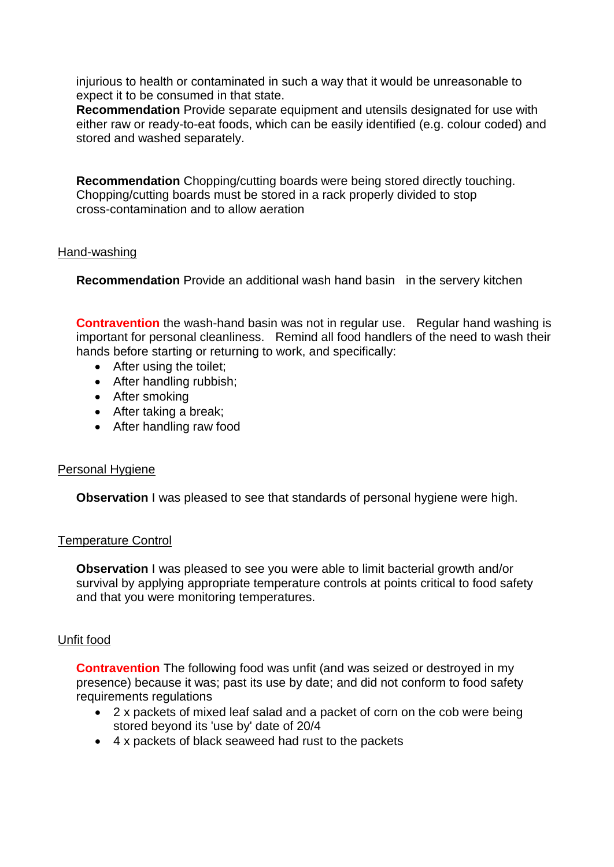injurious to health or contaminated in such a way that it would be unreasonable to expect it to be consumed in that state.

**Recommendation** Provide separate equipment and utensils designated for use with either raw or ready-to-eat foods, which can be easily identified (e.g. colour coded) and stored and washed separately.

**Recommendation** Chopping/cutting boards were being stored directly touching. Chopping/cutting boards must be stored in a rack properly divided to stop cross-contamination and to allow aeration

## Hand-washing

**Recommendation** Provide an additional wash hand basin in the servery kitchen

 important for personal cleanliness. Remind all food handlers of the need to wash their **Contravention** the wash-hand basin was not in regular use. Regular hand washing is hands before starting or returning to work, and specifically:

- After using the toilet:
- After handling rubbish;
- After smoking
- After taking a break;
- After handling raw food

#### Personal Hygiene

**Observation** I was pleased to see that standards of personal hygiene were high.

#### Temperature Control

 survival by applying appropriate temperature controls at points critical to food safety **Observation I** was pleased to see you were able to limit bacterial growth and/or and that you were monitoring temperatures.

## Unfit food

 presence) because it was; past its use by date; and did not conform to food safety **Contravention** The following food was unfit (and was seized or destroyed in my requirements regulations

- 2 x packets of mixed leaf salad and a packet of corn on the cob were being stored beyond its 'use by' date of 20/4
- 4 x packets of black seaweed had rust to the packets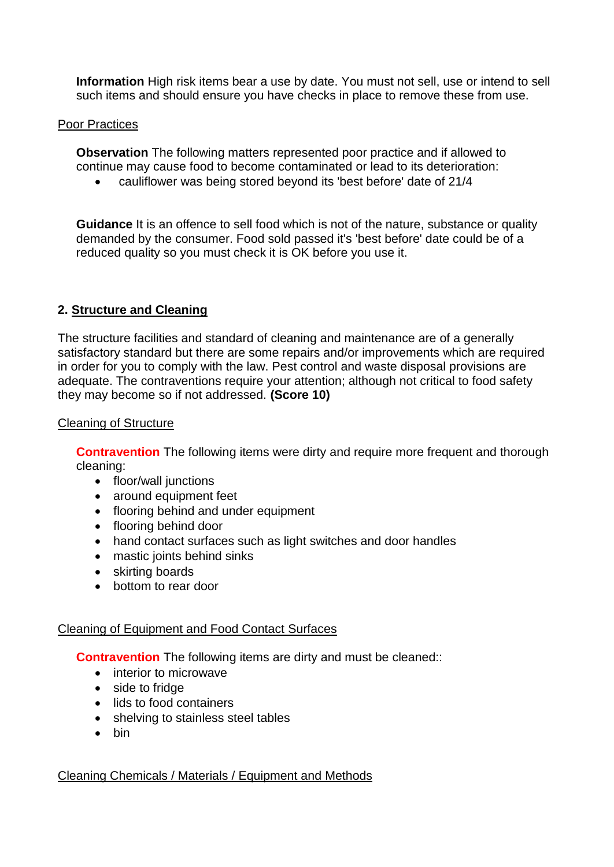**Information** High risk items bear a use by date. You must not sell, use or intend to sell such items and should ensure you have checks in place to remove these from use.

## Poor Practices

 continue may cause food to become contaminated or lead to its deterioration: **Observation** The following matters represented poor practice and if allowed to

cauliflower was being stored beyond its 'best before' date of 21/4

**Guidance** It is an offence to sell food which is not of the nature, substance or quality demanded by the consumer. Food sold passed it's 'best before' date could be of a reduced quality so you must check it is OK before you use it.

# **2. Structure and Cleaning**

 The structure facilities and standard of cleaning and maintenance are of a generally adequate. The contraventions require your attention; although not critical to food safety satisfactory standard but there are some repairs and/or improvements which are required in order for you to comply with the law. Pest control and waste disposal provisions are they may become so if not addressed. **(Score 10)** 

### Cleaning of Structure

**Contravention** The following items were dirty and require more frequent and thorough cleaning:

- floor/wall junctions
- around equipment feet
- flooring behind and under equipment
- flooring behind door
- hand contact surfaces such as light switches and door handles
- mastic joints behind sinks
- skirting boards
- bottom to rear door

## Cleaning of Equipment and Food Contact Surfaces

**Contravention** The following items are dirty and must be cleaned::

- interior to microwave
- side to fridge
- lids to food containers
- shelving to stainless steel tables
- $\bullet$  bin

## Cleaning Chemicals / Materials / Equipment and Methods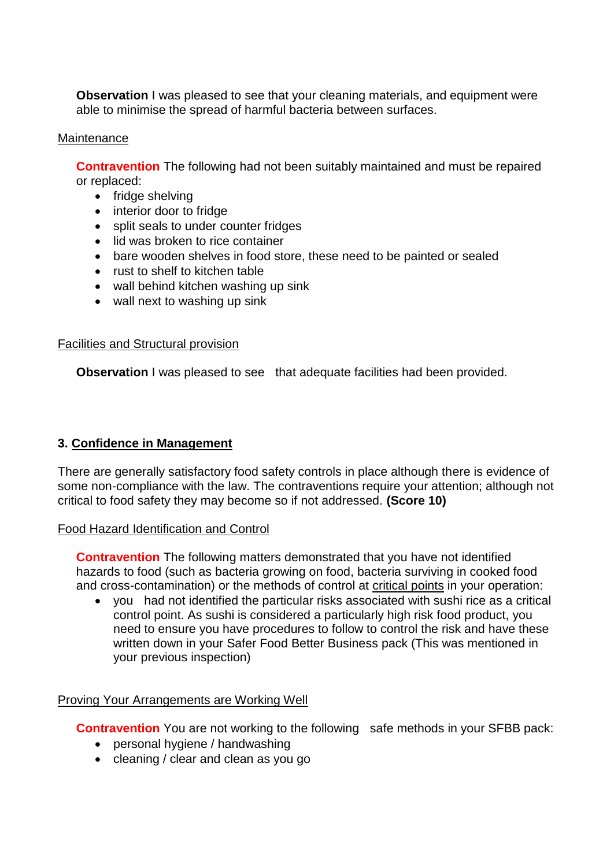**Observation** I was pleased to see that your cleaning materials, and equipment were able to minimise the spread of harmful bacteria between surfaces.

## Maintenance

**Contravention** The following had not been suitably maintained and must be repaired or replaced:

- fridge shelving
- interior door to fridge
- split seals to under counter fridges
- lid was broken to rice container
- bare wooden shelves in food store, these need to be painted or sealed
- rust to shelf to kitchen table
- wall behind kitchen washing up sink
- wall next to washing up sink

### Facilities and Structural provision

**Observation** I was pleased to see that adequate facilities had been provided.

## **3. Confidence in Management**

There are generally satisfactory food safety controls in place although there is evidence of some non-compliance with the law. The contraventions require your attention; although not critical to food safety they may become so if not addressed. **(Score 10)** 

Food Hazard Identification and Control

 hazards to food (such as bacteria growing on food, bacteria surviving in cooked food **Contravention** The following matters demonstrated that you have not identified and cross-contamination) or the methods of control at critical points in your operation:

 you had not identified the particular risks associated with sushi rice as a critical control point. As sushi is considered a particularly high risk food product, you need to ensure you have procedures to follow to control the risk and have these written down in your Safer Food Better Business pack (This was mentioned in your previous inspection)

## Proving Your Arrangements are Working Well

**Contravention** You are not working to the following safe methods in your SFBB pack:

- personal hygiene / handwashing
- cleaning / clear and clean as you go